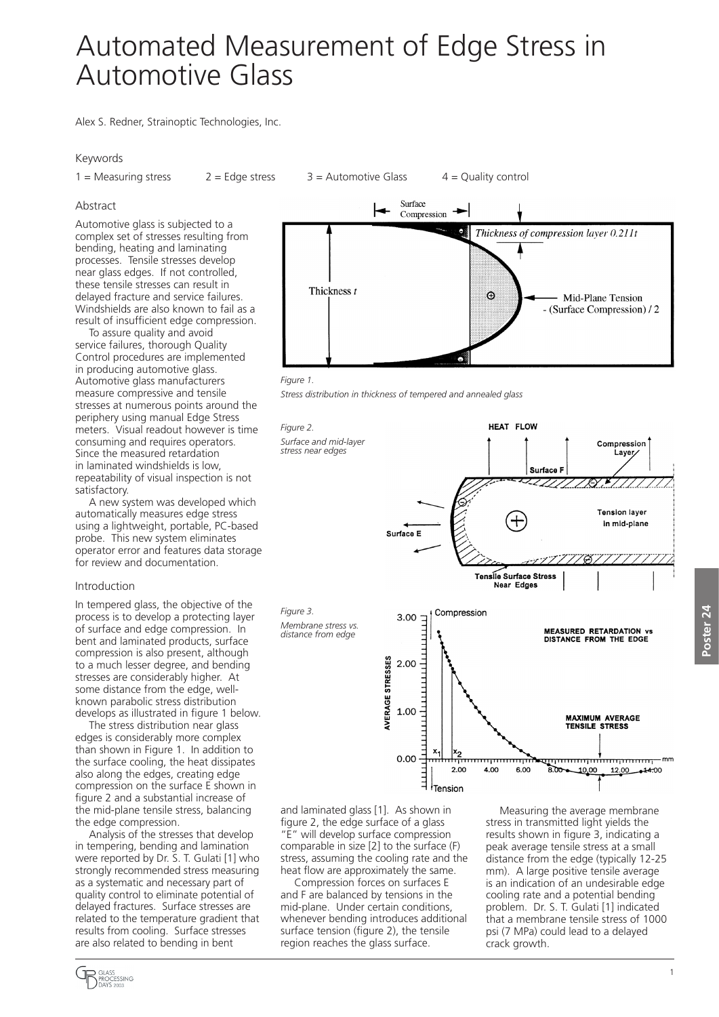# Automated Measurement of Edge Stress in Automotive Glass

Alex S. Redner, Strainoptic Technologies, Inc.

## Keywords

 $1 =$  Measuring stress  $2 =$  Edge stress  $3 =$  Automotive Glass  $4 =$  Quality control

## Abstract

Automotive glass is subjected to a complex set of stresses resulting from bending, heating and laminating processes. Tensile stresses develop near glass edges. If not controlled, these tensile stresses can result in delayed fracture and service failures. Windshields are also known to fail as a result of insufficient edge compression.

To assure quality and avoid service failures, thorough Quality Control procedures are implemented in producing automotive glass. Automotive glass manufacturers measure compressive and tensile stresses at numerous points around the periphery using manual Edge Stress meters. Visual readout however is time consuming and requires operators. Since the measured retardation in laminated windshields is low, repeatability of visual inspection is not satisfactory.

A new system was developed which automatically measures edge stress using a lightweight, portable, PC-based probe. This new system eliminates operator error and features data storage for review and documentation.

### Introduction

In tempered glass, the objective of the process is to develop a protecting layer of surface and edge compression. In bent and laminated products, surface compression is also present, although to a much lesser degree, and bending stresses are considerably higher. At some distance from the edge, wellknown parabolic stress distribution develops as illustrated in figure 1 below.

The stress distribution near glass edges is considerably more complex than shown in Figure 1. In addition to the surface cooling, the heat dissipates also along the edges, creating edge compression on the surface E shown in figure 2 and a substantial increase of the mid-plane tensile stress, balancing the edge compression.

Analysis of the stresses that develop in tempering, bending and lamination were reported by Dr. S. T. Gulati [1] who strongly recommended stress measuring as a systematic and necessary part of quality control to eliminate potential of delayed fractures. Surface stresses are related to the temperature gradient that results from cooling. Surface stresses are also related to bending in bent





*Figure 2.*

*Figure 3.*

*Stress distribution in thickness of tempered and annealed glass*

HEAT FLOW *Surface and mid-layer*  Compression *stress near edges* Layer Surface F -277, **Tension layer** in mid-plane Surface E Tensile Surface Stress **Near Edges** Compression 3.00 *Membrane stress vs.*  **MEASURED RETARDATION vs**<br>DISTANCE FROM THE EDGE *distance from edge*VERAGE STRESSES 2.00 1.00 **MAXIMUM AVERAGE<br>TENSILE STRESS**  $0.00$ mum <del>........</del> <del>,,,,,,,,,,,,,,,,,,,,,,,,,,,,,,,</del>mm  $2.00$ 4.00 6.00  $8.00 - 10.00$ 12.00 - 14.00  $\exists$   $\big|$  Tension

and laminated glass [1]. As shown in figure 2, the edge surface of a glass "E" will develop surface compression comparable in size [2] to the surface (F) stress, assuming the cooling rate and the heat flow are approximately the same.

Compression forces on surfaces E and F are balanced by tensions in the mid-plane. Under certain conditions, whenever bending introduces additional surface tension (figure 2), the tensile region reaches the glass surface.

Measuring the average membrane stress in transmitted light yields the results shown in figure 3, indicating a peak average tensile stress at a small distance from the edge (typically 12-25 mm). A large positive tensile average is an indication of an undesirable edge cooling rate and a potential bending problem. Dr. S. T. Gulati [1] indicated that a membrane tensile stress of 1000 psi (7 MPa) could lead to a delayed crack growth.